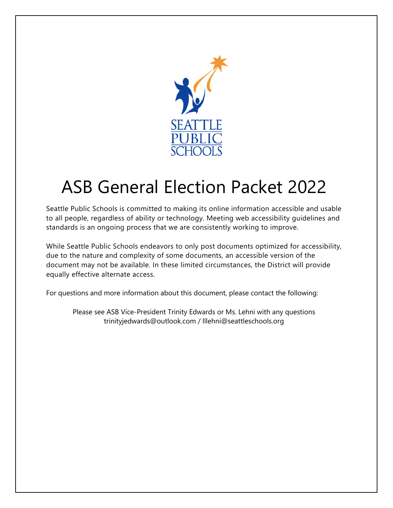

# ASB General Election Packet 2022

Seattle Public Schools is committed to making its online information accessible and usable to all people, regardless of ability or technology. Meeting web accessibility guidelines and standards is an ongoing process that we are consistently working to improve.

While Seattle Public Schools endeavors to only post documents optimized for accessibility, due to the nature and complexity of some documents, an accessible version of the document may not be available. In these limited circumstances, the District will provide equally effective alternate access.

For questions and more information about this document, please contact the following:

Please see ASB Vice-President Trinity Edwards or Ms. Lehni with any questions trinityjedwards@outlook.com / lllehni@seattleschools.org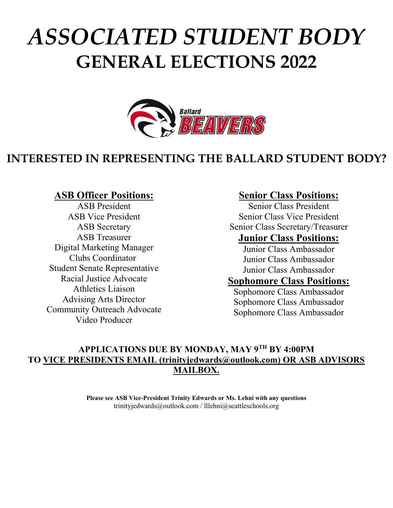# *ASSOCIATED STUDENT BODY* **GENERAL ELECTIONS 2022**



## **INTERESTED IN REPRESENTING THE BALLARD STUDENT BODY?**

### **ASB Officer Positions:**

ASB President ASB Vice President ASB Secretary ASB Treasurer Digital Marketing Manager Clubs Coordinator Student Senate Representative Racial Justice Advocate Athletics Liaison Advising Arts Director Community Outreach Advocate Video Producer

### **Senior Class Positions:**

Senior Class President Senior Class Vice President Senior Class Secretary/Treasurer **Junior Class Positions:**

Junior Class Ambassador Junior Class Ambassador Junior Class Ambassador

### **Sophomore Class Positions:**

Sophomore Class Ambassador Sophomore Class Ambassador Sophomore Class Ambassador

### **APPLICATIONS DUE BY MONDAY, MAY 9TH BY 4:00PM TO VICE PRESIDENTS EMAIL (trinityjedwards@outlook.com) OR ASB ADVISORS MAILBOX.**

**Please see ASB Vice-President Trinity Edwards or Ms. Lehni with any questions**  trinityjedwards@outlook.com / lllehni@seattleschools.org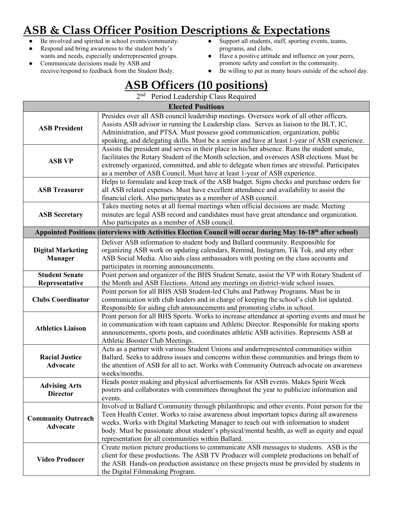# **ASB & Class Officer Position Descriptions & Expectations**

- Be involved and spirited in school events/community.
- Respond and bring awareness to the student body's wants and needs, especially underrepresented groups.
- Communicate decisions made by ASB and receive/respond to feedback from the Student Body.
- Support all students, staff, sporting events, teams, programs, and clubs.
- Have a positive attitude and influence on your peers, promote safety and comfort in the community.
- Be willing to put in many hours outside of the school day.

### **ASB Officers (10 positions)**

2<sup>nd</sup> Period Leadership Class Required

|                                            | <b>Elected Positions</b>                                                                                                                                                                                                                                                                                                                                                                                                             |
|--------------------------------------------|--------------------------------------------------------------------------------------------------------------------------------------------------------------------------------------------------------------------------------------------------------------------------------------------------------------------------------------------------------------------------------------------------------------------------------------|
| <b>ASB President</b>                       | Presides over all ASB council leadership meetings. Oversees work of all other officers.<br>Assists ASB advisor in running the Leadership class. Serves as liaison to the BLT, IC,<br>Administration, and PTSA. Must possess good communication, organization, public<br>speaking, and delegating skills. Must be a senior and have at least 1-year of ASB experience.                                                                |
| <b>ASB VP</b>                              | Assists the president and serves in their place in his/her absence. Runs the student senate,<br>facilitates the Rotary Student of the Month selection, and oversees ASB elections. Must be<br>extremely organized, committed, and able to delegate when times are stressful. Participates<br>as a member of ASB Council. Must have at least 1-year of ASB experience.                                                                |
| <b>ASB Treasurer</b>                       | Helps to formulate and keep track of the ASB budget. Signs checks and purchase orders for<br>all ASB related expenses. Must have excellent attendance and availability to assist the<br>financial clerk. Also participates as a member of ASB council.                                                                                                                                                                               |
| <b>ASB Secretary</b>                       | Takes meeting notes at all formal meetings when official decisions are made. Meeting<br>minutes are legal ASB record and candidates must have great attendance and organization.<br>Also participates as a member of ASB council.                                                                                                                                                                                                    |
|                                            | Appointed Positions (interviews with Activities Election Council will occur during May 16-18 <sup>th</sup> after school)                                                                                                                                                                                                                                                                                                             |
| <b>Digital Marketing</b><br><b>Manager</b> | Deliver ASB information to student body and Ballard community. Responsible for<br>organizing ASB work on updating calendars, Remind, Instagram, Tik Tok, and any other<br>ASB Social Media. Also aids class ambassadors with posting on the class accounts and<br>participates in morning announcements.                                                                                                                             |
| <b>Student Senate</b><br>Representative    | Point person and organizer of the BHS Student Senate, assist the VP with Rotary Student of<br>the Month and ASB Elections. Attend any meetings on district-wide school issues.                                                                                                                                                                                                                                                       |
| <b>Clubs Coordinator</b>                   | Point person for all BHS ASB Student-led Clubs and Pathway Programs. Must be in<br>communication with club leaders and in charge of keeping the school's club list updated.<br>Responsible for aiding club announcements and promoting clubs in school.                                                                                                                                                                              |
| <b>Athletics Liaison</b>                   | Point person for all BHS Sports. Works to increase attendance at sporting events and must be<br>in communication with team captains and Athletic Director. Responsible for making sports<br>announcements, sports posts, and coordinates athletic ASB activities. Represents ASB at<br>Athletic Booster Club Meetings.                                                                                                               |
| <b>Racial Justice</b><br><b>Advocate</b>   | Acts as a partner with various Student Unions and underrepresented communities within<br>Ballard. Seeks to address issues and concerns within those communities and brings them to<br>the attention of ASB for all to act. Works with Community Outreach advocate on awareness<br>weeks/months.                                                                                                                                      |
| <b>Advising Arts</b><br><b>Director</b>    | Heads poster making and physical advertisements for ASB events. Makes Spirit Week<br>posters and collaborates with committees throughout the year to publicize information and<br>events.                                                                                                                                                                                                                                            |
| <b>Community Outreach</b><br>Advocate      | Involved in Ballard Community through philanthropic and other events. Point person for the<br>Teen Health Center. Works to raise awareness about important topics during all awareness<br>weeks. Works with Digital Marketing Manager to reach out with information to student<br>body. Must be passionate about student's physical/mental health, as well as equity and equal<br>representation for all communities within Ballard. |
| <b>Video Producer</b>                      | Create motion picture productions to communicate ASB messages to students. ASB is the<br>client for these productions. The ASB TV Producer will complete productions on behalf of<br>the ASB. Hands-on production assistance on these projects must be provided by students in<br>the Digital Filmmaking Program.                                                                                                                    |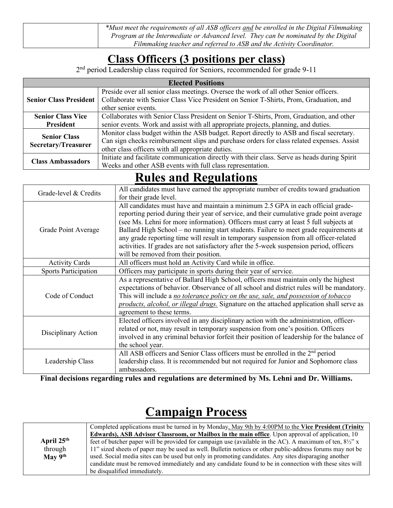| *Must meet the requirements of all ASB officers and be enrolled in the Digital Filmmaking |
|-------------------------------------------------------------------------------------------|
| Program at the Intermediate or Advanced level. They can be nominated by the Digital       |
| Filmmaking teacher and referred to ASB and the Activity Coordinator.                      |

### **Class Officers (3 positions per class)**

2<sup>nd</sup> period Leadership class required for Seniors, recommended for grade 9-11

| <b>Elected Positions</b>      |                                                                                               |  |
|-------------------------------|-----------------------------------------------------------------------------------------------|--|
|                               | Preside over all senior class meetings. Oversee the work of all other Senior officers.        |  |
| <b>Senior Class President</b> | Collaborate with Senior Class Vice President on Senior T-Shirts, Prom, Graduation, and        |  |
|                               | other senior events.                                                                          |  |
| <b>Senior Class Vice</b>      | Collaborates with Senior Class President on Senior T-Shirts, Prom, Graduation, and other      |  |
| <b>President</b>              | senior events. Work and assist with all appropriate projects, planning, and duties.           |  |
| <b>Senior Class</b>           | Monitor class budget within the ASB budget. Report directly to ASB and fiscal secretary.      |  |
| <b>Secretary/Treasurer</b>    | Can sign checks reimbursement slips and purchase orders for class related expenses. Assist    |  |
|                               | other class officers with all appropriate duties.                                             |  |
| <b>Class Ambassadors</b>      | Initiate and facilitate communication directly with their class. Serve as heads during Spirit |  |
|                               | Weeks and other ASB events with full class representation.                                    |  |

## **Rules and Regulations**

| Grade-level & Credits       | All candidates must have earned the appropriate number of credits toward graduation       |
|-----------------------------|-------------------------------------------------------------------------------------------|
|                             | for their grade level.                                                                    |
|                             | All candidates must have and maintain a minimum 2.5 GPA in each official grade-           |
|                             | reporting period during their year of service, and their cumulative grade point average   |
|                             | (see Ms. Lehni for more information). Officers must carry at least 5 full subjects at     |
| Grade Point Average         | Ballard High School - no running start students. Failure to meet grade requirements at    |
|                             | any grade reporting time will result in temporary suspension from all officer-related     |
|                             | activities. If grades are not satisfactory after the 5-week suspension period, officers   |
|                             | will be removed from their position.                                                      |
| <b>Activity Cards</b>       | All officers must hold an Activity Card while in office.                                  |
| <b>Sports Participation</b> | Officers may participate in sports during their year of service.                          |
|                             | As a representative of Ballard High School, officers must maintain only the highest       |
|                             | expectations of behavior. Observance of all school and district rules will be mandatory.  |
| Code of Conduct             | This will include a no tolerance policy on the use, sale, and possession of tobacco       |
|                             | products, alcohol, or illegal drugs. Signature on the attached application shall serve as |
|                             | agreement to these terms.                                                                 |
|                             | Elected officers involved in any disciplinary action with the administration, officer-    |
| Disciplinary Action         | related or not, may result in temporary suspension from one's position. Officers          |
|                             | involved in any criminal behavior forfeit their position of leadership for the balance of |
|                             | the school year.                                                                          |
|                             | All ASB officers and Senior Class officers must be enrolled in the 2 <sup>nd</sup> period |
| Leadership Class            | leadership class. It is recommended but not required for Junior and Sophomore class       |
|                             | ambassadors.                                                                              |

**Final decisions regarding rules and regulations are determined by Ms. Lehni and Dr. Williams.**

# **Campaign Process**

|                        | Completed applications must be turned in by Monday, May 9th by 4:00PM to the Vice President (Trinity              |  |  |  |  |
|------------------------|-------------------------------------------------------------------------------------------------------------------|--|--|--|--|
|                        | <b>Edwards), ASB Advisor Classroom, or Mailbox in the main office</b> . Upon approval of application, 10          |  |  |  |  |
| April 25 <sup>th</sup> | feet of butcher paper will be provided for campaign use (available in the AC). A maximum of ten, $8\frac{1}{2}$ x |  |  |  |  |
| through                | 11" sized sheets of paper may be used as well. Bulletin notices or other public-address forums may not be         |  |  |  |  |
| May $9th$              | used. Social media sites can be used but only in promoting candidates. Any sites disparaging another              |  |  |  |  |
|                        | candidate must be removed immediately and any candidate found to be in connection with these sites will           |  |  |  |  |
|                        | be disqualified immediately.                                                                                      |  |  |  |  |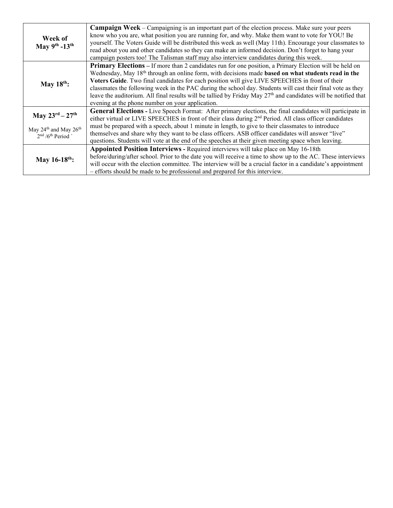|                                                                     | <b>Campaign Week</b> – Campaigning is an important part of the election process. Make sure your peers                       |
|---------------------------------------------------------------------|-----------------------------------------------------------------------------------------------------------------------------|
| Week of                                                             | know who you are, what position you are running for, and why. Make them want to vote for YOU! Be                            |
| May $9^{th}$ -13 <sup>th</sup>                                      | yourself. The Voters Guide will be distributed this week as well (May 11th). Encourage your classmates to                   |
|                                                                     | read about you and other candidates so they can make an informed decision. Don't forget to hang your                        |
|                                                                     | campaign posters too! The Talisman staff may also interview candidates during this week.                                    |
|                                                                     | <b>Primary Elections</b> – If more than 2 candidates run for one position, a Primary Election will be held on               |
|                                                                     | Wednesday, May 18 <sup>th</sup> through an online form, with decisions made <b>based on what students read in the</b>       |
| May $18^{th}$ :                                                     | Voters Guide. Two final candidates for each position will give LIVE SPEECHES in front of their                              |
|                                                                     | classmates the following week in the PAC during the school day. Students will cast their final vote as they                 |
|                                                                     | leave the auditorium. All final results will be tallied by Friday May 27 <sup>th</sup> and candidates will be notified that |
|                                                                     | evening at the phone number on your application.                                                                            |
|                                                                     | General Elections - Live Speech Format: After primary elections, the final candidates will participate in                   |
| May $23^{rd} - 27^{th}$                                             | either virtual or LIVE SPEECHES in front of their class during 2 <sup>nd</sup> Period. All class officer candidates         |
|                                                                     | must be prepared with a speech, about 1 minute in length, to give to their classmates to introduce                          |
| May 24 <sup>th</sup> and May 26 <sup>th</sup><br>$2nd / 6th Period$ | themselves and share why they want to be class officers. ASB officer candidates will answer "live"                          |
|                                                                     | questions. Students will vote at the end of the speeches at their given meeting space when leaving.                         |
|                                                                     | Appointed Position Interviews - Required interviews will take place on May 16-18th                                          |
|                                                                     | before/during/after school. Prior to the date you will receive a time to show up to the AC. These interviews                |
| May $16-18^{th}$ :                                                  | will occur with the election committee. The interview will be a crucial factor in a candidate's appointment                 |
|                                                                     | - efforts should be made to be professional and prepared for this interview.                                                |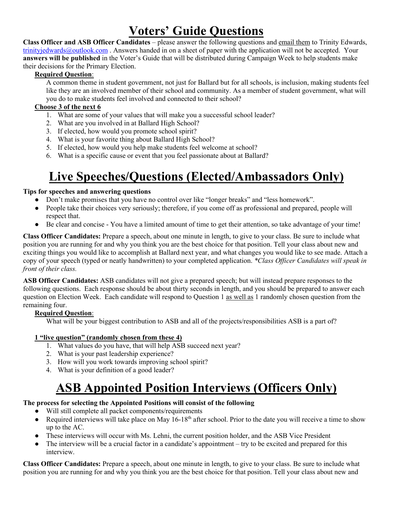# **Voters' Guide Questions**

**Class Officer and ASB Officer Candidates** – please answer the following questions and email them to Trinity Edwards, trinityjedwards@outlook.com. Answers handed in on a sheet of paper with the application will not be accepted. Your **answers will be published** in the Voter's Guide that will be distributed during Campaign Week to help students make their decisions for the Primary Election.

#### **Required Question**:

A common theme in student government, not just for Ballard but for all schools, is inclusion, making students feel like they are an involved member of their school and community. As a member of student government, what will you do to make students feel involved and connected to their school?

#### **Choose 3 of the next 6**

- 1. What are some of your values that will make you a successful school leader?
- 2. What are you involved in at Ballard High School?
- 3. If elected, how would you promote school spirit?
- 4. What is your favorite thing about Ballard High School?
- 5. If elected, how would you help make students feel welcome at school?
- 6. What is a specific cause or event that you feel passionate about at Ballard?

# **Live Speeches/Questions (Elected/Ambassadors Only)**

#### **Tips for speeches and answering questions**

- Don't make promises that you have no control over like "longer breaks" and "less homework".
- People take their choices very seriously; therefore, if you come off as professional and prepared, people will respect that.
- Be clear and concise You have a limited amount of time to get their attention, so take advantage of your time!

**Class Officer Candidates:** Prepare a speech, about one minute in length, to give to your class. Be sure to include what position you are running for and why you think you are the best choice for that position. Tell your class about new and exciting things you would like to accomplish at Ballard next year, and what changes you would like to see made. Attach a copy of your speech (typed or neatly handwritten) to your completed application. *\*Class Officer Candidates will speak in front of their class.*

**ASB Officer Candidates:** ASB candidates will not give a prepared speech; but will instead prepare responses to the following questions. Each response should be about thirty seconds in length, and you should be prepared to answer each question on Election Week. Each candidate will respond to Question 1 as well as 1 randomly chosen question from the remaining four.

#### **Required Question**:

What will be your biggest contribution to ASB and all of the projects/responsibilities ASB is a part of?

#### **1 "live question" (randomly chosen from these 4)**

- 1. What values do you have, that will help ASB succeed next year?
- 2. What is your past leadership experience?
- 3. How will you work towards improving school spirit?
- 4. What is your definition of a good leader?

# **ASB Appointed Position Interviews (Officers Only)**

#### **The process for selecting the Appointed Positions will consist of the following**

- Will still complete all packet components/requirements
- Required interviews will take place on May  $16-18^{th}$  after school. Prior to the date you will receive a time to show up to the AC.
- These interviews will occur with Ms. Lehni, the current position holder, and the ASB Vice President
- The interview will be a crucial factor in a candidate's appointment try to be excited and prepared for this interview.

**Class Officer Candidates:** Prepare a speech, about one minute in length, to give to your class. Be sure to include what position you are running for and why you think you are the best choice for that position. Tell your class about new and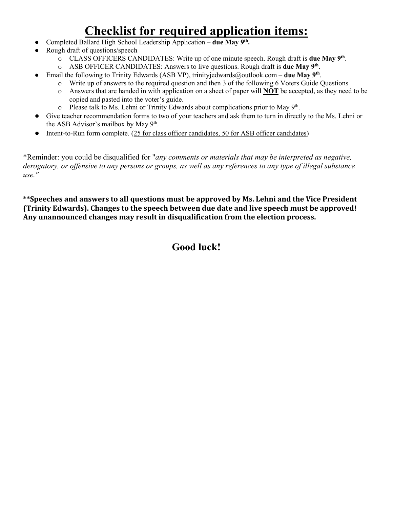# **Checklist for required application items:**

- Completed Ballard High School Leadership Application **due May 9th.**
- Rough draft of questions/speech
	- o CLASS OFFICERS CANDIDATES: Write up of one minute speech. Rough draft is **due May 9th**.
	- o ASB OFFICER CANDIDATES: Answers to live questions. Rough draft is **due May 9th**.
- Email the following to Trinity Edwards (ASB VP), trinityjedwards@outlook.com **due May 9th**.
	- o Write up of answers to the required question and then 3 of the following 6 Voters Guide Questions
	- o Answers that are handed in with application on a sheet of paper will **NOT** be accepted, as they need to be copied and pasted into the voter's guide.
	- $\circ$  Please talk to Ms. Lehni or Trinity Edwards about complications prior to May 9<sup>th</sup>.
- Give teacher recommendation forms to two of your teachers and ask them to turn in directly to the Ms. Lehni or the ASB Advisor's mailbox by May 9<sup>th</sup>.
- Intent-to-Run form complete. (25 for class officer candidates, 50 for ASB officer candidates)

\*Reminder: you could be disqualified for "*any comments or materials that may be interpreted as negative, derogatory, or offensive to any persons or groups, as well as any references to any type of illegal substance use."*

**\*\*Speeches and answers to all questions must be approved by Ms. Lehni and the Vice President (Trinity Edwards). Changes to the speech between due date and live speech must be approved! Any unannounced changes may result in disqualification from the election process.**

### **Good luck!**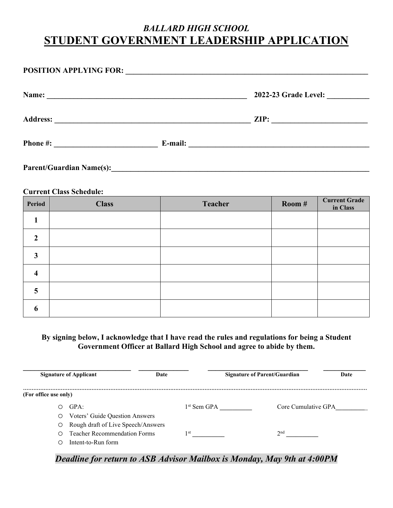### *BALLARD HIGH SCHOOL*  **STUDENT GOVERNMENT LEADERSHIP APPLICATION**

| Name:                                               |         |                 |
|-----------------------------------------------------|---------|-----------------|
| <b>Address:</b>                                     |         | $\mathsf{ZIP:}$ |
| Phone #:<br><u> 1989 - Johann Barbara, martxa a</u> | E-mail: |                 |
| <b>Parent/Guardian Name(s):</b>                     |         |                 |

#### **Current Class Schedule:**

| Period                  | <b>Class</b> | <b>Teacher</b> | Room # | <b>Current Grade</b><br>in Class |
|-------------------------|--------------|----------------|--------|----------------------------------|
|                         |              |                |        |                                  |
| $\overline{2}$          |              |                |        |                                  |
| 3                       |              |                |        |                                  |
| $\overline{\mathbf{4}}$ |              |                |        |                                  |
| $\overline{5}$          |              |                |        |                                  |
| 6                       |              |                |        |                                  |

#### **By signing below, I acknowledge that I have read the rules and regulations for being a Student Government Officer at Ballard High School and agree to abide by them.**

|                       | <b>Signature of Applicant</b>       | Date          | <b>Signature of Parent/Guardian</b> | Date |
|-----------------------|-------------------------------------|---------------|-------------------------------------|------|
| (For office use only) |                                     |               |                                     |      |
| ∩                     | GPA:                                | $1st$ Sem GPA | Core Cumulative GPA                 |      |
| O                     | Voters' Guide Question Answers      |               |                                     |      |
| $\circ$               | Rough draft of Live Speech/Answers  |               |                                     |      |
| ∩                     | <b>Teacher Recommendation Forms</b> | ۱st           | $\gamma$ nd                         |      |
| ∩                     | Intent-to-Run form                  |               |                                     |      |

#### *Deadline for return to ASB Advisor Mailbox is Monday, May 9th at 4:00PM*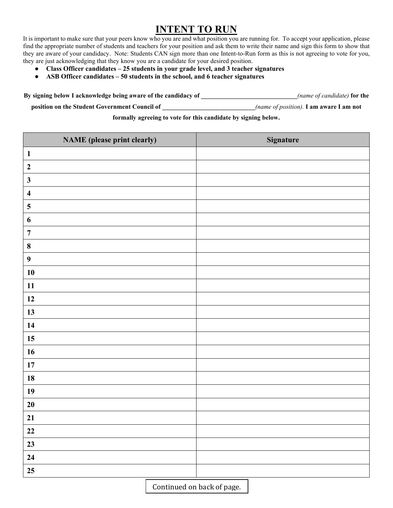### **INTENT TO RUN**

It is important to make sure that your peers know who you are and what position you are running for. To accept your application, please find the appropriate number of students and teachers for your position and ask them to write their name and sign this form to show that they are aware of your candidacy. Note: Students CAN sign more than one Intent-to-Run form as this is not agreeing to vote for you, they are just acknowledging that they know you are a candidate for your desired position.

- **Class Officer candidates 25 students in your grade level, and 3 teacher signatures**
- **ASB Officer candidates 50 students in the school, and 6 teacher signatures**

**By signing below I acknowledge being aware of the candidacy of \_\_\_\_\_\_\_\_\_\_\_\_\_\_\_\_\_\_\_\_\_\_\_\_\_\_\_\_\_\_***(name of candidate)* **for the position on the Student Government Council of \_\_\_\_\_\_\_\_\_\_\_\_\_\_\_\_\_\_\_\_\_\_\_\_\_\_\_\_\_***(name of position).* **I am aware I am not** 

**formally agreeing to vote for this candidate by signing below.**

| <b>NAME</b> (please print clearly) | <b>Signature</b> |
|------------------------------------|------------------|
| $\mathbf{1}$                       |                  |
| $\boldsymbol{2}$                   |                  |
| $\mathbf{3}$                       |                  |
| $\overline{\mathbf{4}}$            |                  |
| $\overline{\mathbf{5}}$            |                  |
| $\boldsymbol{6}$                   |                  |
| $\overline{7}$                     |                  |
| $\bf{8}$                           |                  |
| $\boldsymbol{9}$                   |                  |
| 10                                 |                  |
| 11                                 |                  |
| 12                                 |                  |
| 13                                 |                  |
| 14                                 |                  |
| 15                                 |                  |
| 16                                 |                  |
| 17                                 |                  |
| 18                                 |                  |
| 19                                 |                  |
| $20\,$                             |                  |
| 21                                 |                  |
| $22\,$                             |                  |
| 23                                 |                  |
| 24                                 |                  |
| 25                                 |                  |

Continued on back of page.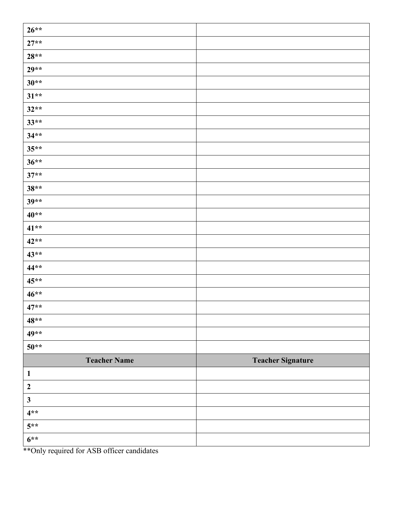| $26**$              |                          |
|---------------------|--------------------------|
| $27**$              |                          |
| $28**$              |                          |
| $29**$              |                          |
| $30**$              |                          |
| $31**$              |                          |
| $32**$              |                          |
| $33**$              |                          |
| $34**$              |                          |
| $35**$              |                          |
| $36**$              |                          |
| $37**$              |                          |
| $38**$              |                          |
| $39**$              |                          |
| $40**$              |                          |
| $41**$              |                          |
| $42**$              |                          |
| $43**$              |                          |
| $44**$              |                          |
| $45**$              |                          |
| $46**$              |                          |
| $47**$              |                          |
| $48**$              |                          |
| 49**                |                          |
| $50**$              |                          |
| <b>Teacher Name</b> | <b>Teacher Signature</b> |
| $\mathbf{1}$        |                          |
| $\boldsymbol{2}$    |                          |
| $\mathbf{3}$        |                          |
| $4**$               |                          |
| $5**$               |                          |
| $6***$              |                          |

\*\*Only required for ASB officer candidates